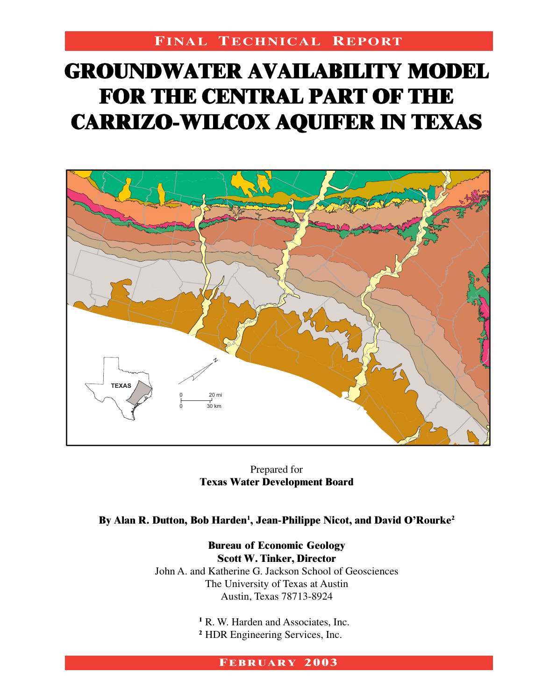# **FINAL TECHNICAL REPORT**

# **GROUNDWATER AVAILABILITY MODEL GROUNDWATER AVAILABILITY MODEL FOR THE CENTRAL PART OF THE FOR THE CENTRAL PART OF THE CARRIZO-WILCOX AQUIFER IN TEXAS CARRIZO-WILCOX AQUIFER IN TEXAS GROUNDWATER AVAILABILITY MODEL AVAILABILITY MODEL FOR THE CENTRAL PART OF THE FOR THE PART OF THE CARRIZO-WILCOX AQUIFER IN TEXAS CARRIZO-WILCOX AQUIFER TEXAS**



Prepared for **Texas Water Development Board**

By Alan R. Dutton, Bob Harden<sup>1</sup>, Jean-Philippe Nicot, and David O'Rourke<sup>2</sup>

**Scott W. Tinker, Director Bureau of Economic Geology Scott W. Tinker, Director** John A. and Katherine G. Jackson School of Geosciences The University of Texas at Austin Austin, Texas 78713-8924

> <sup>1</sup> R. W. Harden and Associates, Inc. **<sup>2</sup>** HDR Engineering Services, Inc.

#### **FEBRUARY 2003**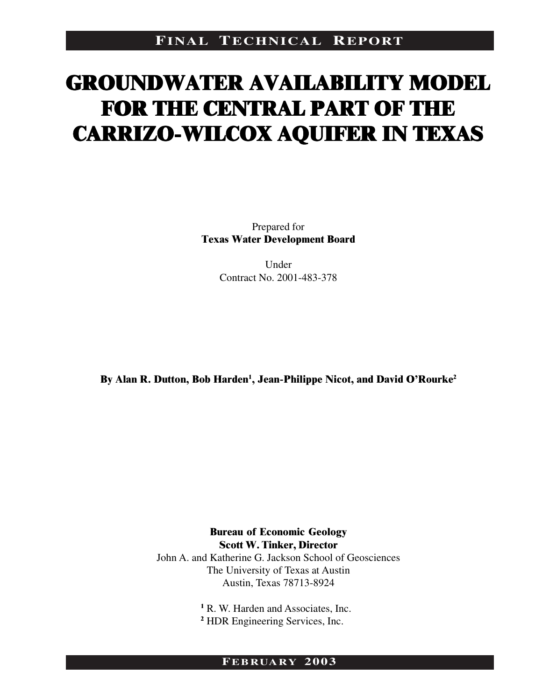# **GROUNDWATER AVAILABILITY MODEL GROUNDWATER AVAILABILITY MODEL GROUNDWATER AVAILABILITY MODEL GROUNDWATER AVAILABILITY MODEL FOR THE CENTRAL PART OF THE FOR THE CENTRAL PART OF THE FOR THE CENTRAL PART OF THE FOR THE PART OF THE CARRIZO-WILCOX AQUIFER IN TEXAS CARRIZO-WILCOX AQUIFER IN TEXAS CARRIZO-WILCOX AQUIFER IN TEXAS CARRIZO-WILCOX AQUIFER IN TEXAS**

Prepared for **Texas Water Development Board**

> Under Contract No. 2001-483-378

By Alan **R. Dutton, Bob Harden<sup>1</sup>, Jean-Philippe Nicot, and David O'Rourke<sup>2</sup>** 

**Scott W. Tinker, Director Bureau of Economic Geology Scott W. Tinker, Director** John A. and Katherine G. Jackson School of Geosciences The University of Texas at Austin Austin, Texas 78713-8924

> <sup>1</sup> R. W. Harden and Associates, Inc. <sup>2</sup> HDR Engineering Services, Inc.

#### **FEBRUARY 2003**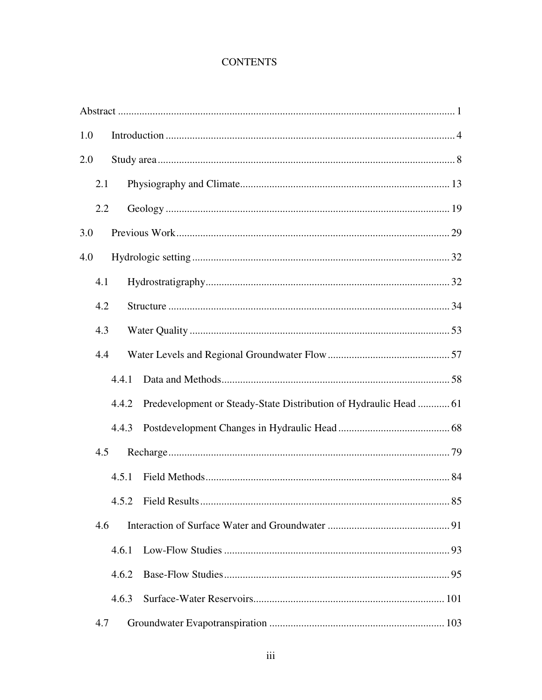#### **CONTENTS**

| 1.0 |       |                                                                   |
|-----|-------|-------------------------------------------------------------------|
| 2.0 |       |                                                                   |
| 2.1 |       |                                                                   |
| 2.2 |       |                                                                   |
| 3.0 |       |                                                                   |
| 4.0 |       |                                                                   |
| 4.1 |       |                                                                   |
| 4.2 |       |                                                                   |
| 4.3 |       |                                                                   |
| 4.4 |       |                                                                   |
|     | 4.4.1 |                                                                   |
|     | 4.4.2 | Predevelopment or Steady-State Distribution of Hydraulic Head  61 |
|     | 4.4.3 |                                                                   |
| 4.5 |       |                                                                   |
|     | 4.5.1 |                                                                   |
|     |       | 85<br>4.5.2 Field Results                                         |
| 4.6 |       |                                                                   |
|     | 4.6.1 |                                                                   |
|     | 4.6.2 |                                                                   |
|     | 4.6.3 |                                                                   |
| 4.7 |       |                                                                   |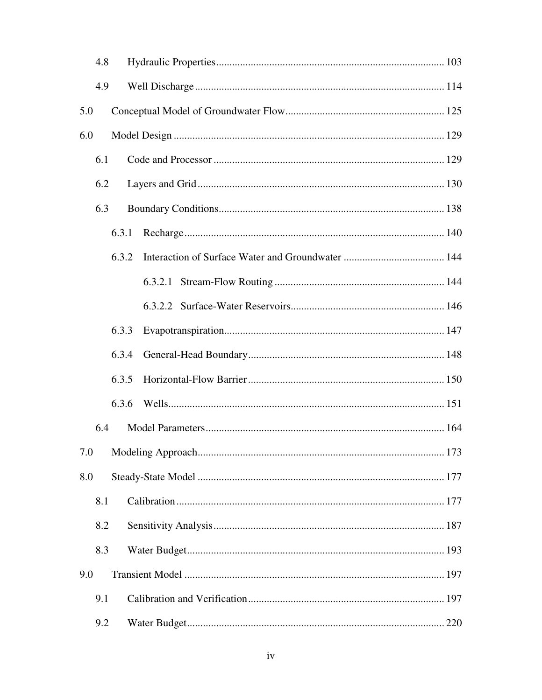|     | 4.8 |       |  |
|-----|-----|-------|--|
|     | 4.9 |       |  |
| 5.0 |     |       |  |
| 6.0 |     |       |  |
|     | 6.1 |       |  |
|     | 6.2 |       |  |
|     | 6.3 |       |  |
|     |     | 6.3.1 |  |
|     |     | 6.3.2 |  |
|     |     |       |  |
|     |     |       |  |
|     |     | 6.3.3 |  |
|     |     | 6.3.4 |  |
|     |     | 6.3.5 |  |
|     |     | 6.3.6 |  |
|     | 6.4 |       |  |
|     |     |       |  |
| 8.0 |     |       |  |
|     | 8.1 |       |  |
|     | 8.2 |       |  |
|     | 8.3 |       |  |
| 9.0 |     |       |  |
|     | 9.1 |       |  |
|     | 9.2 |       |  |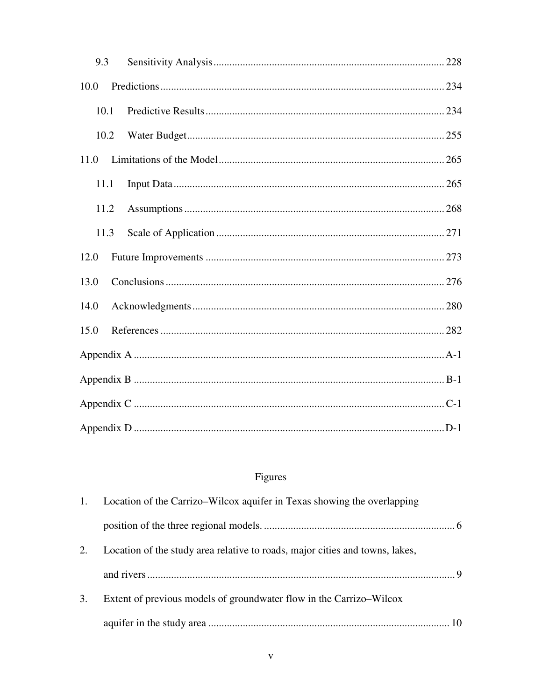| 9.3  |  |
|------|--|
| 10.0 |  |
| 10.1 |  |
| 10.2 |  |
| 11.0 |  |
| 11.1 |  |
| 11.2 |  |
| 11.3 |  |
| 12.0 |  |
| 13.0 |  |
| 14.0 |  |
| 15.0 |  |
|      |  |
|      |  |
|      |  |
|      |  |

# Figures

| 1. | Location of the Carrizo–Wilcox aquifer in Texas showing the overlapping      |
|----|------------------------------------------------------------------------------|
|    |                                                                              |
| 2. | Location of the study area relative to roads, major cities and towns, lakes, |
|    |                                                                              |
| 3. | Extent of previous models of groundwater flow in the Carrizo–Wilcox          |
|    |                                                                              |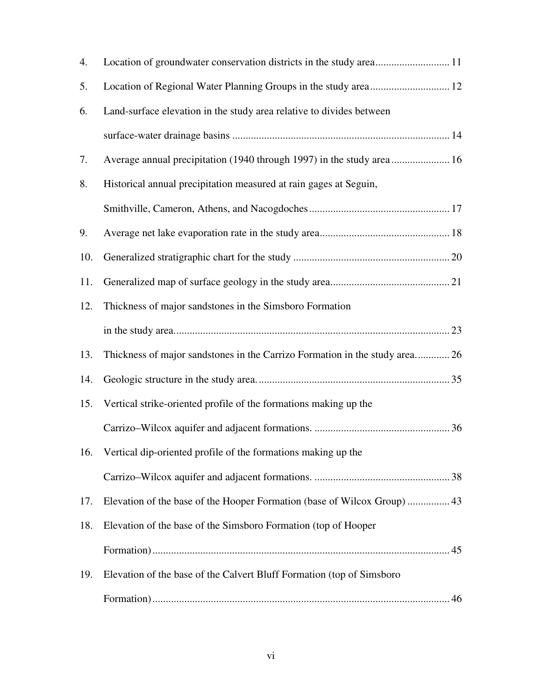| 4.  |                                                                             |  |
|-----|-----------------------------------------------------------------------------|--|
| 5.  |                                                                             |  |
| 6.  | Land-surface elevation in the study area relative to divides between        |  |
|     |                                                                             |  |
| 7.  | Average annual precipitation (1940 through 1997) in the study area 16       |  |
| 8.  | Historical annual precipitation measured at rain gages at Seguin,           |  |
|     |                                                                             |  |
| 9.  |                                                                             |  |
| 10. |                                                                             |  |
| 11. |                                                                             |  |
| 12. | Thickness of major sandstones in the Simsboro Formation                     |  |
|     |                                                                             |  |
| 13. | Thickness of major sandstones in the Carrizo Formation in the study area 26 |  |
| 14. |                                                                             |  |
| 15. | Vertical strike-oriented profile of the formations making up the            |  |
|     |                                                                             |  |
|     | 16. Vertical dip-oriented profile of the formations making up the           |  |
|     |                                                                             |  |
| 17. | Elevation of the base of the Hooper Formation (base of Wilcox Group)  43    |  |
| 18. | Elevation of the base of the Simsboro Formation (top of Hooper              |  |
|     |                                                                             |  |
| 19. | Elevation of the base of the Calvert Bluff Formation (top of Simsboro       |  |
|     |                                                                             |  |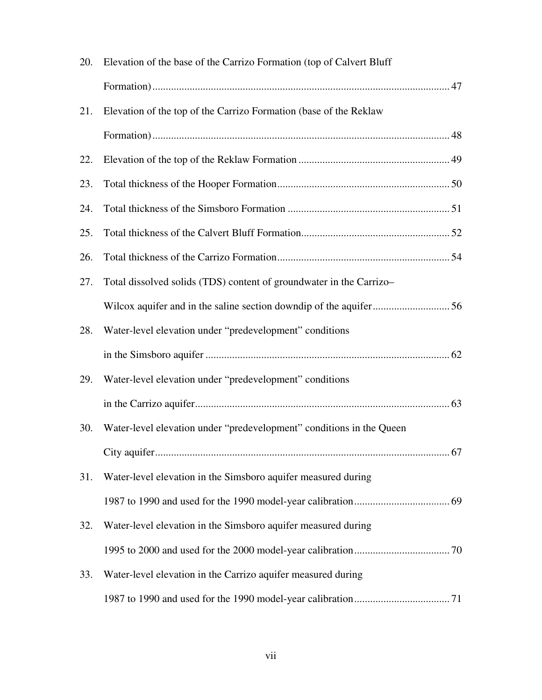| 20. | Elevation of the base of the Carrizo Formation (top of Calvert Bluff |  |
|-----|----------------------------------------------------------------------|--|
|     |                                                                      |  |
| 21. | Elevation of the top of the Carrizo Formation (base of the Reklaw    |  |
|     |                                                                      |  |
| 22. |                                                                      |  |
| 23. |                                                                      |  |
| 24. |                                                                      |  |
| 25. |                                                                      |  |
| 26. |                                                                      |  |
| 27. | Total dissolved solids (TDS) content of groundwater in the Carrizo-  |  |
|     |                                                                      |  |
| 28. | Water-level elevation under "predevelopment" conditions              |  |
|     |                                                                      |  |
| 29. | Water-level elevation under "predevelopment" conditions              |  |
|     |                                                                      |  |
| 30. | Water-level elevation under "predevelopment" conditions in the Queen |  |
|     |                                                                      |  |
| 31. | Water-level elevation in the Simsboro aquifer measured during        |  |
|     |                                                                      |  |
| 32. | Water-level elevation in the Simsboro aquifer measured during        |  |
|     |                                                                      |  |
| 33. | Water-level elevation in the Carrizo aquifer measured during         |  |
|     |                                                                      |  |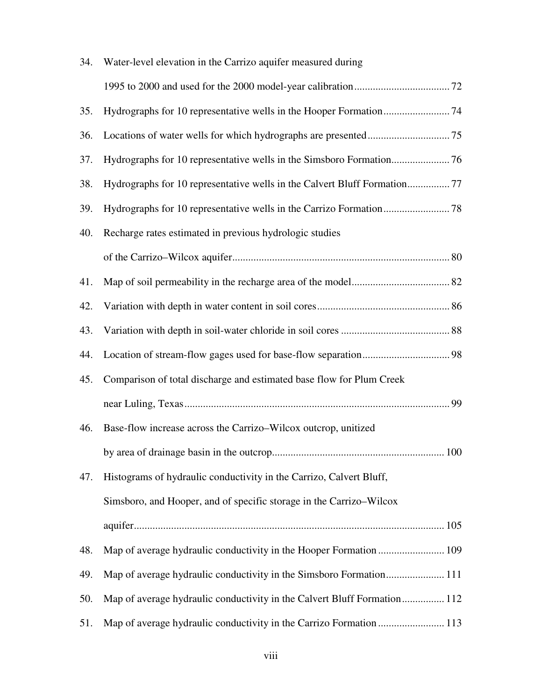| 34. | Water-level elevation in the Carrizo aquifer measured during             |  |
|-----|--------------------------------------------------------------------------|--|
|     |                                                                          |  |
| 35. |                                                                          |  |
| 36. |                                                                          |  |
| 37. |                                                                          |  |
| 38. | Hydrographs for 10 representative wells in the Calvert Bluff Formation77 |  |
| 39. |                                                                          |  |
| 40. | Recharge rates estimated in previous hydrologic studies                  |  |
|     |                                                                          |  |
| 41. |                                                                          |  |
| 42. |                                                                          |  |
| 43. |                                                                          |  |
| 44. |                                                                          |  |
| 45. | Comparison of total discharge and estimated base flow for Plum Creek     |  |
|     |                                                                          |  |
| 46. | Base-flow increase across the Carrizo-Wilcox outcrop, unitized           |  |
|     |                                                                          |  |
| 47. | Histograms of hydraulic conductivity in the Carrizo, Calvert Bluff,      |  |
|     | Simsboro, and Hooper, and of specific storage in the Carrizo–Wilcox      |  |
|     |                                                                          |  |
| 48. | Map of average hydraulic conductivity in the Hooper Formation  109       |  |
| 49. |                                                                          |  |
| 50. | Map of average hydraulic conductivity in the Calvert Bluff Formation 112 |  |
| 51. | Map of average hydraulic conductivity in the Carrizo Formation  113      |  |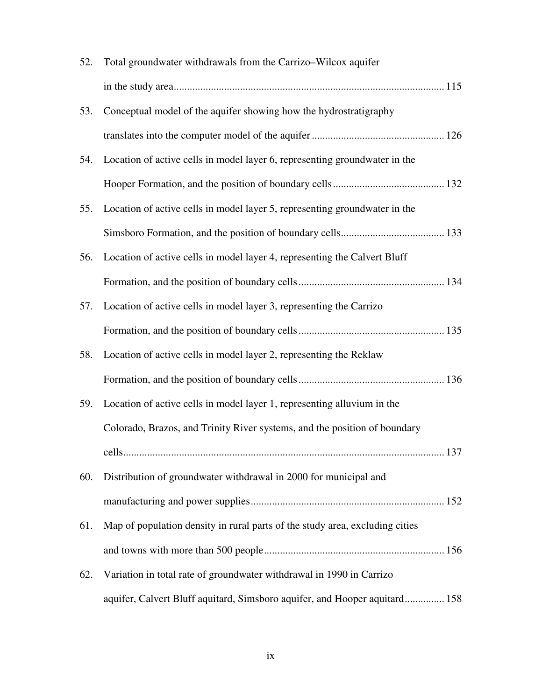| 52. | Total groundwater withdrawals from the Carrizo-Wilcox aquifer                |
|-----|------------------------------------------------------------------------------|
|     |                                                                              |
| 53. | Conceptual model of the aquifer showing how the hydrostratigraphy            |
|     |                                                                              |
| 54. | Location of active cells in model layer 6, representing groundwater in the   |
|     |                                                                              |
| 55. | Location of active cells in model layer 5, representing groundwater in the   |
|     |                                                                              |
| 56. | Location of active cells in model layer 4, representing the Calvert Bluff    |
|     |                                                                              |
| 57. | Location of active cells in model layer 3, representing the Carrizo          |
|     |                                                                              |
| 58. | Location of active cells in model layer 2, representing the Reklaw           |
|     |                                                                              |
| 59. | Location of active cells in model layer 1, representing alluvium in the      |
|     | Colorado, Brazos, and Trinity River systems, and the position of boundary    |
|     | .137<br>cells                                                                |
| 60. | Distribution of groundwater withdrawal in 2000 for municipal and             |
|     |                                                                              |
| 61. | Map of population density in rural parts of the study area, excluding cities |
|     |                                                                              |
| 62. | Variation in total rate of groundwater withdrawal in 1990 in Carrizo         |
|     | aquifer, Calvert Bluff aquitard, Simsboro aquifer, and Hooper aquitard 158   |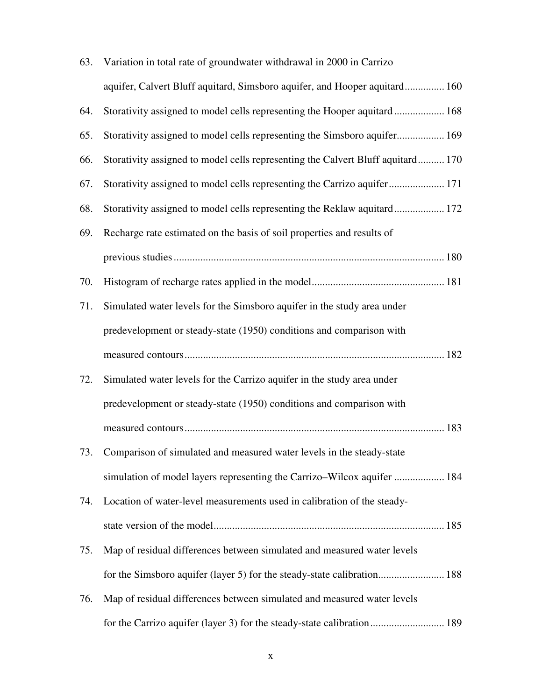| 63. | Variation in total rate of groundwater withdrawal in 2000 in Carrizo            |  |
|-----|---------------------------------------------------------------------------------|--|
|     | aquifer, Calvert Bluff aquitard, Simsboro aquifer, and Hooper aquitard 160      |  |
| 64. | Storativity assigned to model cells representing the Hooper aquitard 168        |  |
| 65. | Storativity assigned to model cells representing the Simsboro aquifer 169       |  |
| 66. | Storativity assigned to model cells representing the Calvert Bluff aquitard 170 |  |
| 67. | Storativity assigned to model cells representing the Carrizo aquifer 171        |  |
| 68. | Storativity assigned to model cells representing the Reklaw aquitard 172        |  |
| 69. | Recharge rate estimated on the basis of soil properties and results of          |  |
|     |                                                                                 |  |
| 70. |                                                                                 |  |
| 71. | Simulated water levels for the Simsboro aquifer in the study area under         |  |
|     | predevelopment or steady-state (1950) conditions and comparison with            |  |
|     |                                                                                 |  |
| 72. | Simulated water levels for the Carrizo aquifer in the study area under          |  |
|     | predevelopment or steady-state (1950) conditions and comparison with            |  |
|     |                                                                                 |  |
|     | 73. Comparison of simulated and measured water levels in the steady-state       |  |
|     | simulation of model layers representing the Carrizo–Wilcox aquifer  184         |  |
| 74. | Location of water-level measurements used in calibration of the steady-         |  |
|     |                                                                                 |  |
| 75. | Map of residual differences between simulated and measured water levels         |  |
|     | for the Simsboro aquifer (layer 5) for the steady-state calibration 188         |  |
| 76. | Map of residual differences between simulated and measured water levels         |  |
|     |                                                                                 |  |
|     | for the Carrizo aquifer (layer 3) for the steady-state calibration 189          |  |

### x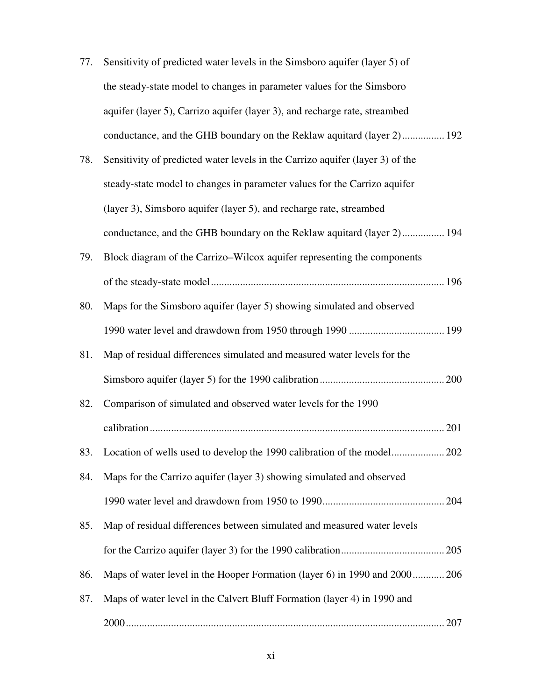| 77. | Sensitivity of predicted water levels in the Simsboro aquifer (layer 5) of |
|-----|----------------------------------------------------------------------------|
|     | the steady-state model to changes in parameter values for the Simsboro     |
|     | aquifer (layer 5), Carrizo aquifer (layer 3), and recharge rate, streambed |
|     | conductance, and the GHB boundary on the Reklaw aquitard (layer 2) 192     |

| 78. | Sensitivity of predicted water levels in the Carrizo aquifer (layer 3) of the |
|-----|-------------------------------------------------------------------------------|
|     | steady-state model to changes in parameter values for the Carrizo aquifer     |
|     | (layer 3), Simsboro aquifer (layer 5), and recharge rate, streambed           |
|     | conductance, and the GHB boundary on the Reklaw aquitard (layer 2) 194        |

- 79. Block diagram of the Carrizo–Wilcox aquifer representing the components of the steady-state model........................................................................................ 196 80. Maps for the Simsboro aquifer (layer 5) showing simulated and observed
- 1990 water level and drawdown from 1950 through 1990 .................................... 199
- 81. Map of residual differences simulated and measured water levels for the Simsboro aquifer (layer 5) for the 1990 calibration............................................... 200
- 82. Comparison of simulated and observed water levels for the 1990 calibration............................................................................................................... 201 83. Location of wells used to develop the 1990 calibration of the model.................... 202 84. Maps for the Carrizo aquifer (layer 3) showing simulated and observed 1990 water level and drawdown from 1950 to 1990.............................................. 204 85. Map of residual differences between simulated and measured water levels
- for the Carrizo aquifer (layer 3) for the 1990 calibration....................................... 205
- 86. Maps of water level in the Hooper Formation (layer 6) in 1990 and 2000............ 206
- 87. Maps of water level in the Calvert Bluff Formation (layer 4) in 1990 and 2000........................................................................................................................ 207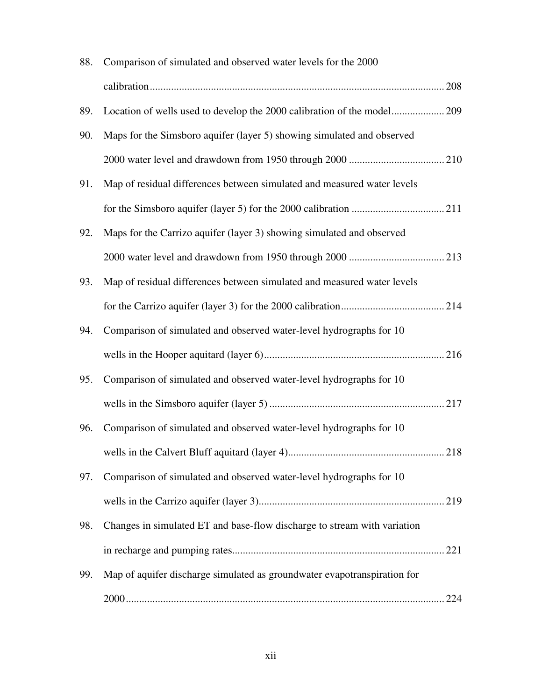| 88. | Comparison of simulated and observed water levels for the 2000           |  |
|-----|--------------------------------------------------------------------------|--|
|     |                                                                          |  |
| 89. | Location of wells used to develop the 2000 calibration of the model209   |  |
| 90. | Maps for the Simsboro aquifer (layer 5) showing simulated and observed   |  |
|     |                                                                          |  |
| 91. | Map of residual differences between simulated and measured water levels  |  |
|     |                                                                          |  |
| 92. | Maps for the Carrizo aquifer (layer 3) showing simulated and observed    |  |
|     |                                                                          |  |
| 93. | Map of residual differences between simulated and measured water levels  |  |
|     |                                                                          |  |
| 94. | Comparison of simulated and observed water-level hydrographs for 10      |  |
|     |                                                                          |  |
| 95. | Comparison of simulated and observed water-level hydrographs for 10      |  |
|     |                                                                          |  |
| 96. | Comparison of simulated and observed water-level hydrographs for 10      |  |
|     |                                                                          |  |
| 97. | Comparison of simulated and observed water-level hydrographs for 10      |  |
|     |                                                                          |  |
| 98. | Changes in simulated ET and base-flow discharge to stream with variation |  |
|     |                                                                          |  |
| 99. | Map of aquifer discharge simulated as groundwater evapotranspiration for |  |
|     |                                                                          |  |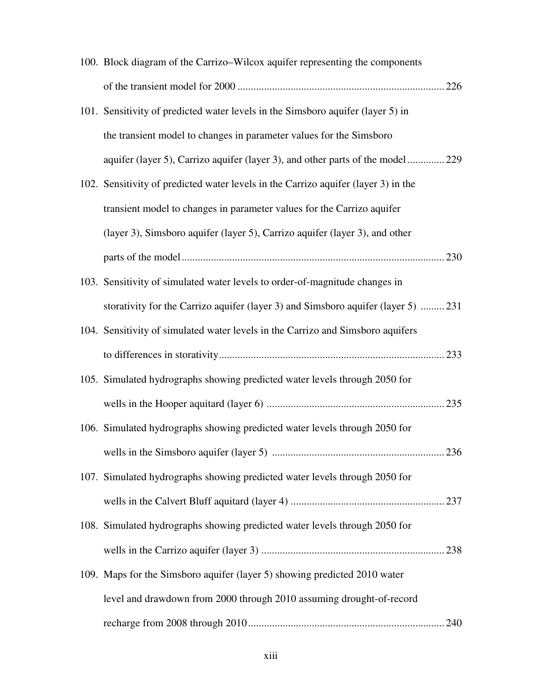| 100. Block diagram of the Carrizo–Wilcox aquifer representing the components       |  |
|------------------------------------------------------------------------------------|--|
|                                                                                    |  |
| 101. Sensitivity of predicted water levels in the Simsboro aquifer (layer 5) in    |  |
| the transient model to changes in parameter values for the Simsboro                |  |
| aquifer (layer 5), Carrizo aquifer (layer 3), and other parts of the model 229     |  |
| 102. Sensitivity of predicted water levels in the Carrizo aquifer (layer 3) in the |  |
| transient model to changes in parameter values for the Carrizo aquifer             |  |
| (layer 3), Simsboro aquifer (layer 5), Carrizo aquifer (layer 3), and other        |  |
|                                                                                    |  |
| 103. Sensitivity of simulated water levels to order-of-magnitude changes in        |  |
| storativity for the Carrizo aquifer (layer 3) and Simsboro aquifer (layer 5)  231  |  |
| 104. Sensitivity of simulated water levels in the Carrizo and Simsboro aquifers    |  |
|                                                                                    |  |
| 105. Simulated hydrographs showing predicted water levels through 2050 for         |  |
|                                                                                    |  |
| 106. Simulated hydrographs showing predicted water levels through 2050 for         |  |
|                                                                                    |  |
| 107. Simulated hydrographs showing predicted water levels through 2050 for         |  |
|                                                                                    |  |
|                                                                                    |  |
| 108. Simulated hydrographs showing predicted water levels through 2050 for         |  |
|                                                                                    |  |
| 109. Maps for the Simsboro aquifer (layer 5) showing predicted 2010 water          |  |
| level and drawdown from 2000 through 2010 assuming drought-of-record               |  |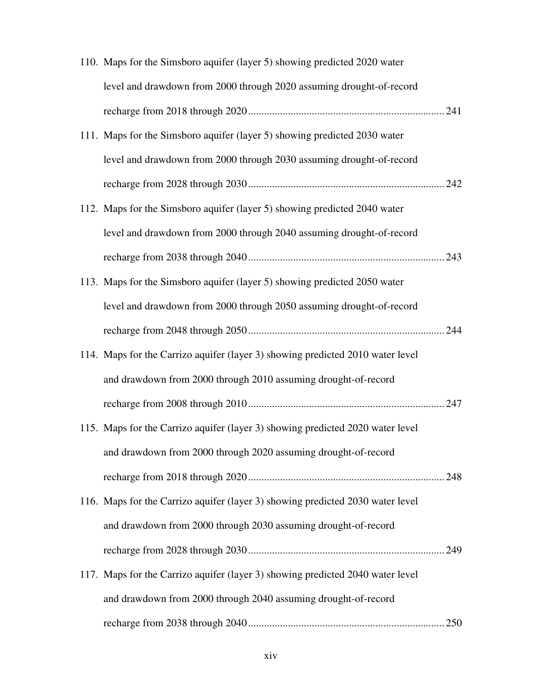| 110. Maps for the Simsboro aquifer (layer 5) showing predicted 2020 water      |  |
|--------------------------------------------------------------------------------|--|
| level and drawdown from 2000 through 2020 assuming drought-of-record           |  |
|                                                                                |  |
| 111. Maps for the Simsboro aquifer (layer 5) showing predicted 2030 water      |  |
| level and drawdown from 2000 through 2030 assuming drought-of-record           |  |
|                                                                                |  |
| 112. Maps for the Simsboro aquifer (layer 5) showing predicted 2040 water      |  |
| level and drawdown from 2000 through 2040 assuming drought-of-record           |  |
|                                                                                |  |
| 113. Maps for the Simsboro aquifer (layer 5) showing predicted 2050 water      |  |
| level and drawdown from 2000 through 2050 assuming drought-of-record           |  |
|                                                                                |  |
| 114. Maps for the Carrizo aquifer (layer 3) showing predicted 2010 water level |  |
| and drawdown from 2000 through 2010 assuming drought-of-record                 |  |
|                                                                                |  |
| 115. Maps for the Carrizo aquifer (layer 3) showing predicted 2020 water level |  |
| and drawdown from 2000 through 2020 assuming drought-of-record                 |  |
|                                                                                |  |
| 116. Maps for the Carrizo aquifer (layer 3) showing predicted 2030 water level |  |
| and drawdown from 2000 through 2030 assuming drought-of-record                 |  |
|                                                                                |  |
| 117. Maps for the Carrizo aquifer (layer 3) showing predicted 2040 water level |  |
| and drawdown from 2000 through 2040 assuming drought-of-record                 |  |
|                                                                                |  |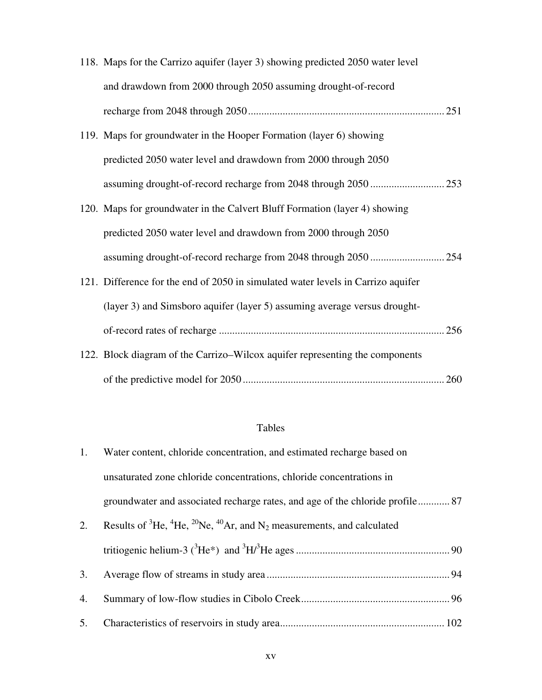| 118. Maps for the Carrizo aquifer (layer 3) showing predicted 2050 water level   |  |
|----------------------------------------------------------------------------------|--|
| and drawdown from 2000 through 2050 assuming drought-of-record                   |  |
|                                                                                  |  |
| 119. Maps for groundwater in the Hooper Formation (layer 6) showing              |  |
| predicted 2050 water level and drawdown from 2000 through 2050                   |  |
|                                                                                  |  |
| 120. Maps for groundwater in the Calvert Bluff Formation (layer 4) showing       |  |
| predicted 2050 water level and drawdown from 2000 through 2050                   |  |
|                                                                                  |  |
| 121. Difference for the end of 2050 in simulated water levels in Carrizo aquifer |  |
| (layer 3) and Simsboro aquifer (layer 5) assuming average versus drought-        |  |
|                                                                                  |  |
| 122. Block diagram of the Carrizo–Wilcox aquifer representing the components     |  |
|                                                                                  |  |

## Tables

| 1. | Water content, chloride concentration, and estimated recharge based on                                           |  |
|----|------------------------------------------------------------------------------------------------------------------|--|
|    | unsaturated zone chloride concentrations, chloride concentrations in                                             |  |
|    | groundwater and associated recharge rates, and age of the chloride profile 87                                    |  |
| 2. | Results of ${}^{3}$ He, ${}^{4}$ He, ${}^{20}$ Ne, ${}^{40}$ Ar, and N <sub>2</sub> measurements, and calculated |  |
|    |                                                                                                                  |  |
| 3. |                                                                                                                  |  |
| 4. |                                                                                                                  |  |
| 5. |                                                                                                                  |  |